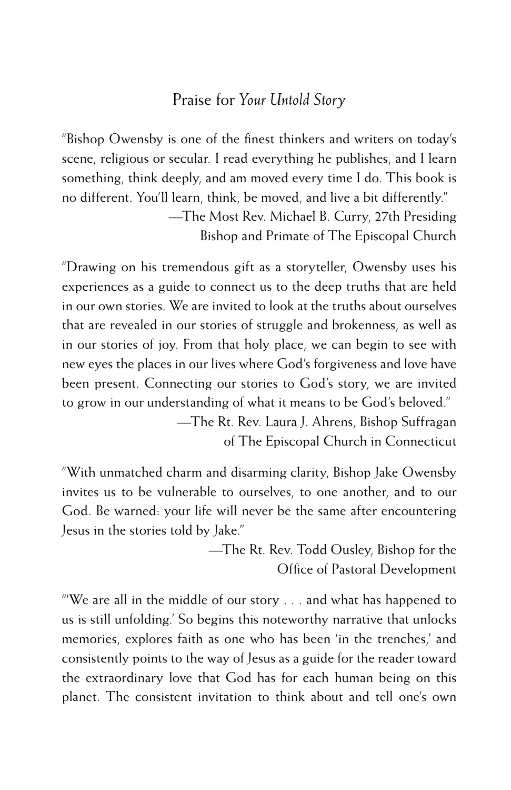#### Praise for *Your Untold Story*

"Bishop Owensby is one of the finest thinkers and writers on today's scene, religious or secular. I read everything he publishes, and I learn something, think deeply, and am moved every time I do. This book is no different. You'll learn, think, be moved, and live a bit differently."

—The Most Rev. Michael B. Curry, 27th Presiding Bishop and Primate of The Episcopal Church

"Drawing on his tremendous gift as a storyteller, Owensby uses his experiences as a guide to connect us to the deep truths that are held in our own stories. We are invited to look at the truths about ourselves that are revealed in our stories of struggle and brokenness, as well as in our stories of joy. From that holy place, we can begin to see with new eyes the places in our lives where God's forgiveness and love have been present. Connecting our stories to God's story, we are invited to grow in our understanding of what it means to be God's beloved."

> —The Rt. Rev. Laura J. Ahrens, Bishop Suffragan of The Episcopal Church in Connecticut

"With unmatched charm and disarming clarity, Bishop Jake Owensby invites us to be vulnerable to ourselves, to one another, and to our God. Be warned: your life will never be the same after encountering Jesus in the stories told by Jake."

> —The Rt. Rev. Todd Ousley, Bishop for the Office of Pastoral Development

"'We are all in the middle of our story . . . and what has happened to us is still unfolding.' So begins this noteworthy narrative that unlocks memories, explores faith as one who has been 'in the trenches,' and consistently points to the way of Jesus as a guide for the reader toward the extraordinary love that God has for each human being on this planet. The consistent invitation to think about and tell one's own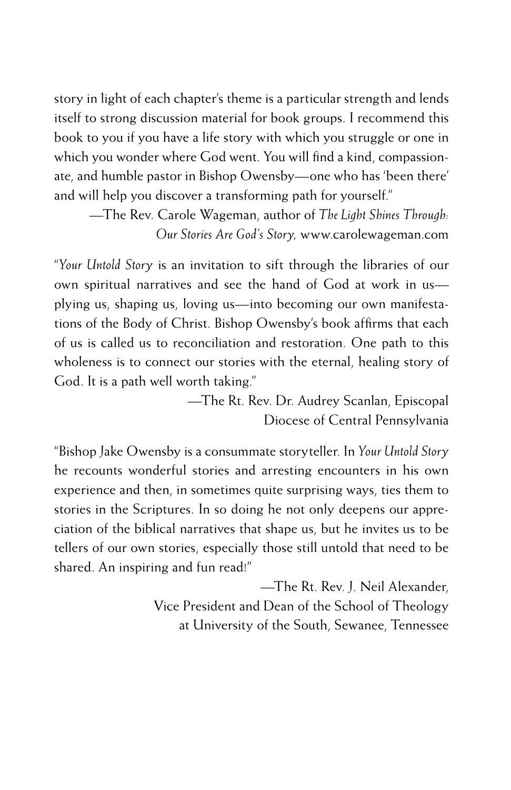story in light of each chapter's theme is a particular strength and lends itself to strong discussion material for book groups. I recommend this book to you if you have a life story with which you struggle or one in which you wonder where God went. You will find a kind, compassionate, and humble pastor in Bishop Owensby—one who has 'been there' and will help you discover a transforming path for yourself."

—The Rev. Carole Wageman, author of *The Light Shines Through: Our Stories Are God's Story,* www.carolewageman.com

"*Your Untold Story* is an invitation to sift through the libraries of our own spiritual narratives and see the hand of God at work in us plying us, shaping us, loving us—into becoming our own manifestations of the Body of Christ. Bishop Owensby's book affirms that each of us is called us to reconciliation and restoration. One path to this wholeness is to connect our stories with the eternal, healing story of God. It is a path well worth taking."

> —The Rt. Rev. Dr. Audrey Scanlan, Episcopal Diocese of Central Pennsylvania

"Bishop Jake Owensby is a consummate storyteller. In *Your Untold Story* he recounts wonderful stories and arresting encounters in his own experience and then, in sometimes quite surprising ways, ties them to stories in the Scriptures. In so doing he not only deepens our appreciation of the biblical narratives that shape us, but he invites us to be tellers of our own stories, especially those still untold that need to be shared. An inspiring and fun read!"

> —The Rt. Rev. J. Neil Alexander, Vice President and Dean of the School of Theology at University of the South, Sewanee, Tennessee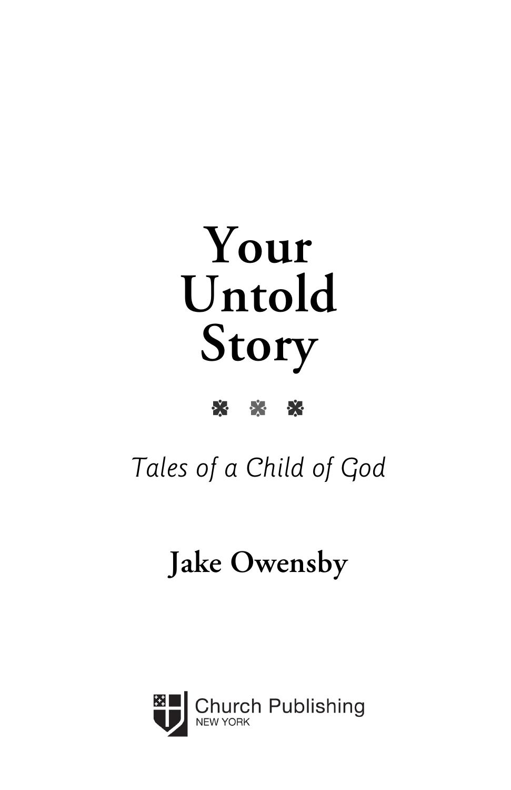# **Your Untold Story**

### K K K

# *Tales of a Child of God*

# **Jake Owensby**

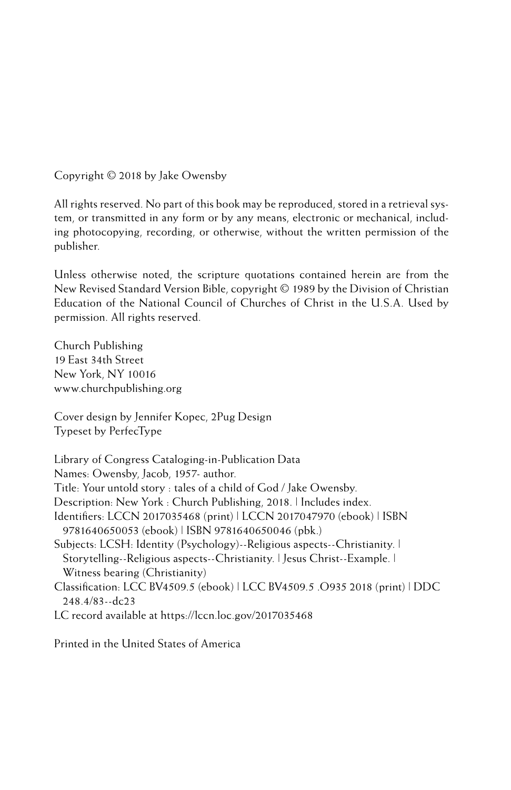Copyright © 2018 by Jake Owensby

All rights reserved. No part of this book may be reproduced, stored in a retrieval system, or transmitted in any form or by any means, electronic or mechanical, including photocopying, recording, or otherwise, without the written permission of the publisher.

Unless otherwise noted, the scripture quotations contained herein are from the New Revised Standard Version Bible, copyright © 1989 by the Division of Christian Education of the National Council of Churches of Christ in the U.S.A. Used by permission. All rights reserved.

Church Publishing 19 East 34th Street New York, NY 10016 www.churchpublishing.org

Cover design by Jennifer Kopec, 2Pug Design Typeset by PerfecType

Library of Congress Cataloging-in-Publication Data Names: Owensby, Jacob, 1957- author. Title: Your untold story : tales of a child of God / Jake Owensby. Description: New York : Church Publishing, 2018. | Includes index. Identifiers: LCCN 2017035468 (print) | LCCN 2017047970 (ebook) | ISBN 9781640650053 (ebook) | ISBN 9781640650046 (pbk.) Subjects: LCSH: Identity (Psychology)--Religious aspects--Christianity. | Storytelling--Religious aspects--Christianity. | Jesus Christ--Example. | Witness bearing (Christianity) Classification: LCC BV4509.5 (ebook) | LCC BV4509.5 .O935 2018 (print) | DDC 248.4/83--dc23 LC record available at https://lccn.loc.gov/2017035468

Printed in the United States of America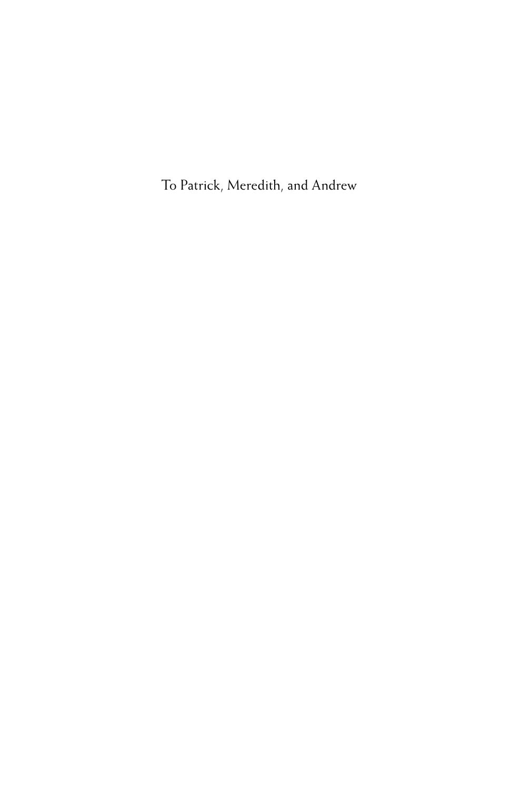To Patrick, Meredith, and Andrew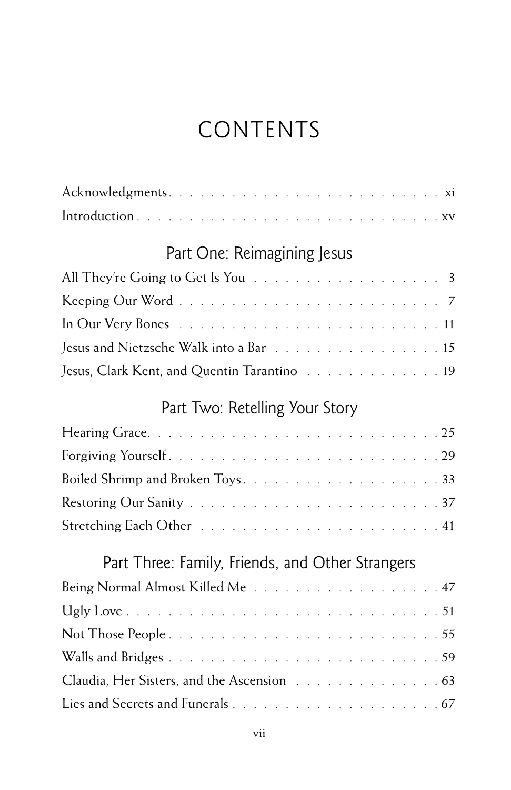### CONTENTS

| Part One: Reimagining Jesus                      |
|--------------------------------------------------|
|                                                  |
|                                                  |
|                                                  |
| Jesus and Nietzsche Walk into a Bar 15           |
| Jesus, Clark Kent, and Quentin Tarantino 19      |
| Part Two: Retelling Your Story                   |
|                                                  |
|                                                  |
|                                                  |
|                                                  |
|                                                  |
| Part Three: Family, Friends, and Other Strangers |
|                                                  |
|                                                  |
|                                                  |
|                                                  |
| Claudia, Her Sisters, and the Ascension 63       |
|                                                  |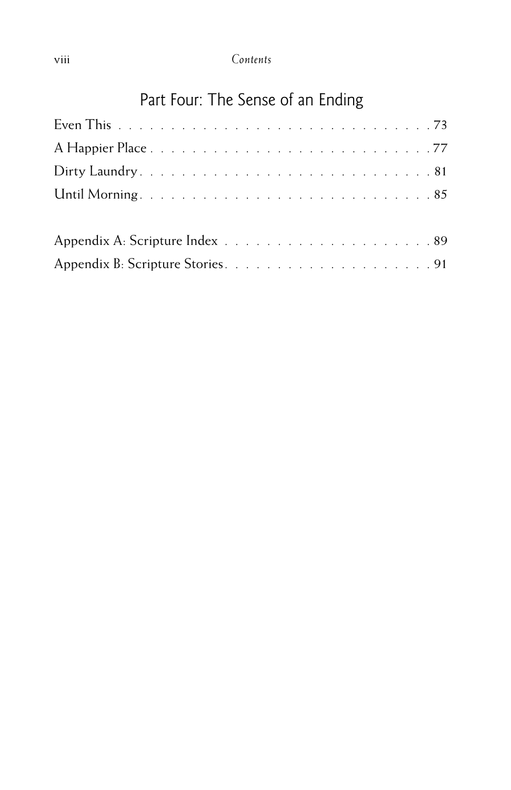#### viii *Contents*

### Part Four: The Sense of an Ending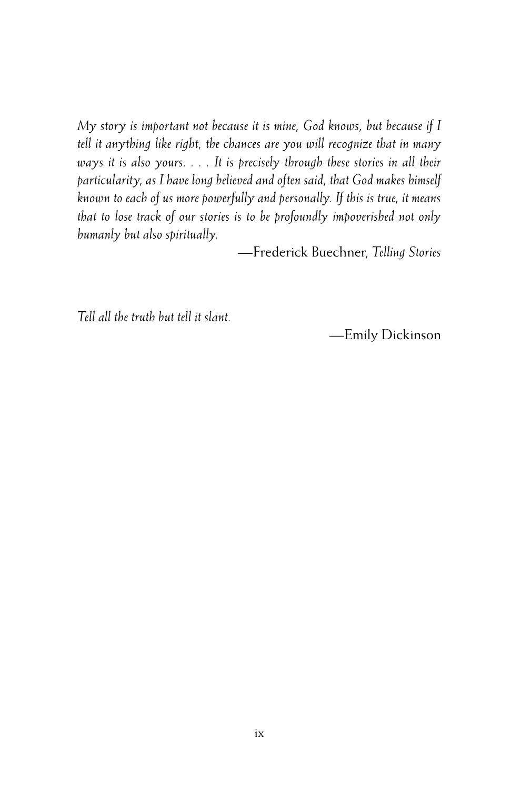*My story is important not because it is mine, God knows, but because if I tell it anything like right, the chances are you will recognize that in many ways it is also yours. . . . It is precisely through these stories in all their particularity, as I have long believed and often said, that God makes himself known to each of us more powerfully and personally. If this is true, it means that to lose track of our stories is to be profoundly impoverished not only humanly but also spiritually.*

—Frederick Buechner, *Telling Stories*

*Tell all the truth but tell it slant.*

—Emily Dickinson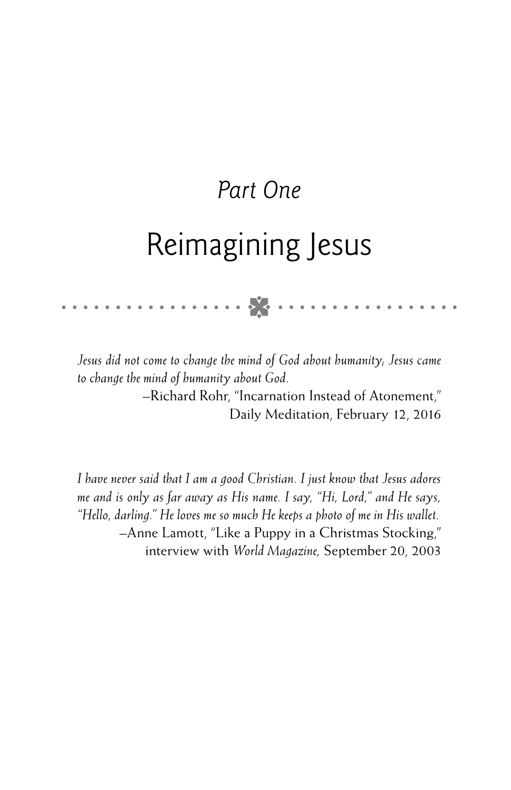### *Part One*

## Reimagining Jesus

K

*Jesus did not come to change the mind of God about humanity; Jesus came to change the mind of humanity about God.*

–Richard Rohr, "Incarnation Instead of Atonement," Daily Meditation, February 12, 2016

*I have never said that I am a good Christian. I just know that Jesus adores me and is only as far away as His name. I say, "Hi, Lord," and He says, "Hello, darling." He loves me so much He keeps a photo of me in His wallet.*  –Anne Lamott, "Like a Puppy in a Christmas Stocking," interview with *World Magazine,* September 20, 2003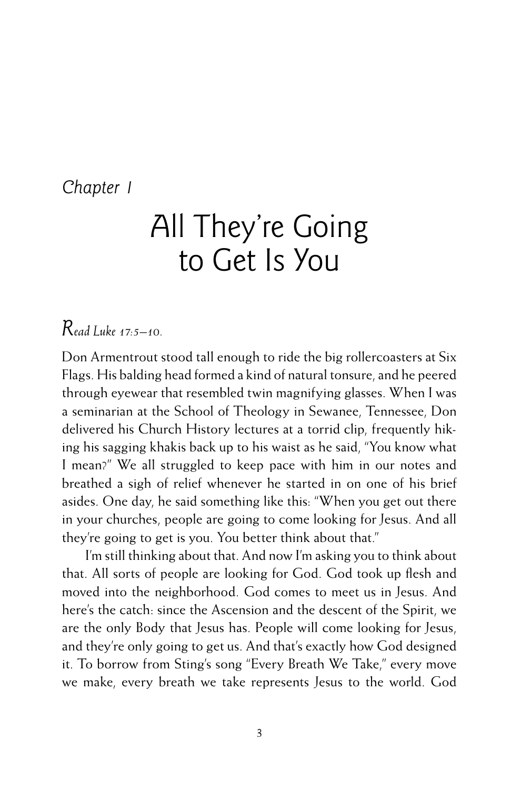*Chapter 1*

# All They're Going to Get Is You

#### *Read Luke 17:5–10.*

Don Armentrout stood tall enough to ride the big rollercoasters at Six Flags. His balding head formed a kind of natural tonsure, and he peered through eyewear that resembled twin magnifying glasses. When I was a seminarian at the School of Theology in Sewanee, Tennessee, Don delivered his Church History lectures at a torrid clip, frequently hiking his sagging khakis back up to his waist as he said, "You know what I mean?" We all struggled to keep pace with him in our notes and breathed a sigh of relief whenever he started in on one of his brief asides. One day, he said something like this: "When you get out there in your churches, people are going to come looking for Jesus. And all they're going to get is you. You better think about that."

I'm still thinking about that. And now I'm asking you to think about that. All sorts of people are looking for God. God took up flesh and moved into the neighborhood. God comes to meet us in Jesus. And here's the catch: since the Ascension and the descent of the Spirit, we are the only Body that Jesus has. People will come looking for Jesus, and they're only going to get us. And that's exactly how God designed it. To borrow from Sting's song "Every Breath We Take," every move we make, every breath we take represents Jesus to the world. God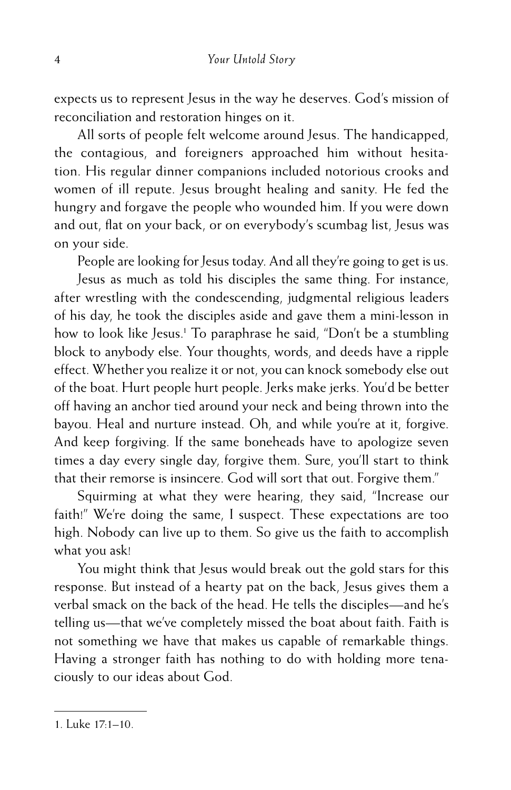expects us to represent Jesus in the way he deserves. God's mission of reconciliation and restoration hinges on it.

All sorts of people felt welcome around Jesus. The handicapped, the contagious, and foreigners approached him without hesitation. His regular dinner companions included notorious crooks and women of ill repute. Jesus brought healing and sanity. He fed the hungry and forgave the people who wounded him. If you were down and out, flat on your back, or on everybody's scumbag list, Jesus was on your side.

People are looking for Jesus today. And all they're going to get is us.

Jesus as much as told his disciples the same thing. For instance, after wrestling with the condescending, judgmental religious leaders of his day, he took the disciples aside and gave them a mini-lesson in how to look like Jesus.1 To paraphrase he said, "Don't be a stumbling block to anybody else. Your thoughts, words, and deeds have a ripple effect. Whether you realize it or not, you can knock somebody else out of the boat. Hurt people hurt people. Jerks make jerks. You'd be better off having an anchor tied around your neck and being thrown into the bayou. Heal and nurture instead. Oh, and while you're at it, forgive. And keep forgiving. If the same boneheads have to apologize seven times a day every single day, forgive them. Sure, you'll start to think that their remorse is insincere. God will sort that out. Forgive them."

Squirming at what they were hearing, they said, "Increase our faith!" We're doing the same, I suspect. These expectations are too high. Nobody can live up to them. So give us the faith to accomplish what you ask!

You might think that Jesus would break out the gold stars for this response. But instead of a hearty pat on the back, Jesus gives them a verbal smack on the back of the head. He tells the disciples—and he's telling us—that we've completely missed the boat about faith. Faith is not something we have that makes us capable of remarkable things. Having a stronger faith has nothing to do with holding more tenaciously to our ideas about God.

<sup>1.</sup> Luke 17:1–10.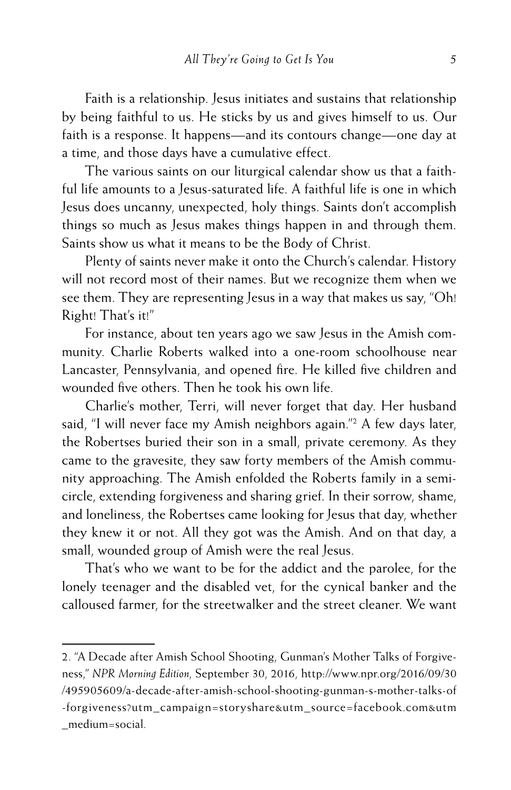Faith is a relationship. Jesus initiates and sustains that relationship by being faithful to us. He sticks by us and gives himself to us. Our faith is a response. It happens—and its contours change—one day at a time, and those days have a cumulative effect.

The various saints on our liturgical calendar show us that a faithful life amounts to a Jesus-saturated life. A faithful life is one in which Jesus does uncanny, unexpected, holy things. Saints don't accomplish things so much as Jesus makes things happen in and through them. Saints show us what it means to be the Body of Christ.

Plenty of saints never make it onto the Church's calendar. History will not record most of their names. But we recognize them when we see them. They are representing Jesus in a way that makes us say, "Oh! Right! That's it!"

For instance, about ten years ago we saw Jesus in the Amish community. Charlie Roberts walked into a one-room schoolhouse near Lancaster, Pennsylvania, and opened fire. He killed five children and wounded five others. Then he took his own life.

Charlie's mother, Terri, will never forget that day. Her husband said, "I will never face my Amish neighbors again."2 A few days later, the Robertses buried their son in a small, private ceremony. As they came to the gravesite, they saw forty members of the Amish community approaching. The Amish enfolded the Roberts family in a semicircle, extending forgiveness and sharing grief. In their sorrow, shame, and loneliness, the Robertses came looking for Jesus that day, whether they knew it or not. All they got was the Amish. And on that day, a small, wounded group of Amish were the real Jesus.

That's who we want to be for the addict and the parolee, for the lonely teenager and the disabled vet, for the cynical banker and the calloused farmer, for the streetwalker and the street cleaner. We want

<sup>2. &</sup>quot;A Decade after Amish School Shooting, Gunman's Mother Talks of Forgiveness," *NPR Morning Edition*, September 30, 2016, http://www.npr.org/2016/09/30 /495905609/a-decade-after-amish-school-shooting-gunman-s-mother-talks-of

<sup>-</sup>forgiveness?utm\_campaign=storyshare&utm\_source=facebook.com&utm \_medium=social.